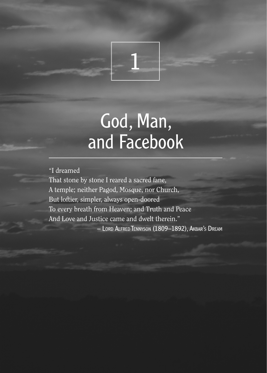

# God, Man, and Facebook

"I dreamed That stone by stone I reared a sacred fane, A temple; neither Pagod, Mosque, nor Church, But loftier, simpler, always open-doored To every breath from Heaven; and Truth and Peace And Love and Justice came and dwelt therein."

– Lord Alfred Tennyson (1809–1892), Akbar's Dream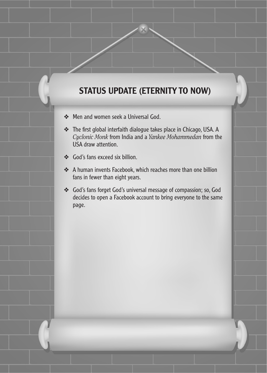## STATUS UPDATE (ETERNITY TO NOW)

- ❖ Men and women seek a Universal God.
- ❖ The first global interfaith dialogue takes place in Chicago, USA. A *Cyclonic Monk* from India and a *Yankee Mohammedan* from the USA draw attention.
- ❖ God's fans exceed six billion.
- ❖ A human invents Facebook, which reaches more than one billion fans in fewer than eight years.
- ❖ God's fans forget God's universal message of compassion; so, God decides to open a Facebook account to bring everyone to the same page.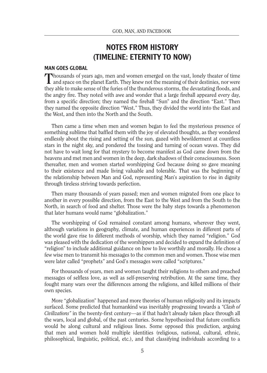## NOTES FROM HISTORY (TIMELINE: ETERNITY TO NOW)

#### MAN GOES GLOBAL

Thousands of years ago, men and women emerged on the vast, lonely theater of time and space on the planet Earth. They knew not the meaning of their destinies, nor were they able to make sense of the furies of the thunderous storms, the devastating floods, and the angry fire. They noted with awe and wonder that a large fireball appeared every day, from a specific direction; they named the fireball "Sun" and the direction "East." Then they named the opposite direction "West." Thus, they divided the world into the East and the West, and then into the North and the South.

Then came a time when men and women began to feel the mysterious presence of something sublime that baffled them with the joy of elevated thoughts, as they wondered endlessly about the rising and setting of the sun, gazed with bewilderment at countless stars in the night sky, and pondered the tossing and turning of ocean waves. They did not have to wait long for that mystery to become manifest as God came down from the heavens and met men and women in the deep, dark shadows of their consciousness. Soon thereafter, men and women started worshipping God because doing so gave meaning to their existence and made living valuable and tolerable. That was the beginning of the relationship between Man and God, representing Man's aspiration to rise in dignity through tireless striving towards perfection.

Then many thousands of years passed; men and women migrated from one place to another in every possible direction, from the East to the West and from the South to the North, in search of food and shelter. Those were the baby steps towards a phenomenon that later humans would name "globalization."

The worshipping of God remained constant among humans, wherever they went, although variations in geography, climate, and human experiences in different parts of the world gave rise to different methods of worship, which they named "religion." God was pleased with the dedication of the worshippers and decided to expand the definition of "religion" to include additional guidance on how to live worthily and morally. He chose a few wise men to transmit his messages to the common men and women. Those wise men were later called "prophets" and God's messages were called "scriptures."

For thousands of years, men and women taught their religions to others and preached messages of selfless love, as well as self-preserving retribution. At the same time, they fought many wars over the differences among the religions, and killed millions of their own species.

More "globalization" happened and more theories of human religiosity and its impacts surfaced. Some predicted that humankind was inevitably progressing towards a *"Clash of Civilizations"* in the twenty-first century—as if that hadn't already taken place through all the wars, local and global, of the past centuries. Some hypothesized that future conflicts would be along cultural and religious lines. Some opposed this prediction, arguing that men and women hold multiple identities (religious, national, cultural, ethnic, philosophical, linguistic, political, etc.), and that classifying individuals according to a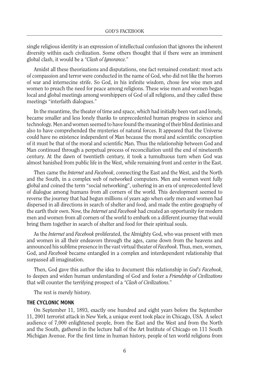single religious identity is an expression of intellectual confusion that ignores the inherent diversity within each civilization. Some others thought that if there were an imminent global clash, it would be a *"Clash of Ignorance.*"

Amidst all these theorizations and disputations, one fact remained constant: most acts of compassion and terror were conducted in the name of God, who did not like the horrors of war and internecine strife. So God, in his infinite wisdom, chose few wise men and women to preach the need for peace among religions. These wise men and women began local and global meetings among worshippers of God of all religions, and they called these meetings "interfaith dialogues."

In the meantime, the theater of time and space, which had initially been vast and lonely, became smaller and less lonely thanks to unprecedented human progress in science and technology. Men and women seemed to have found the meaning of their blind destinies and also to have comprehended the mysteries of natural forces. It appeared that the Universe could have no existence independent of Man because the moral and scientific conception of it must be that of the moral and scientific Man. Thus the relationship between God and Man continued through a perpetual process of reconciliation until the end of nineteenth century. At the dawn of twentieth century, it took a tumultuous turn when God was almost banished from public life in the West, while remaining front and center in the East.

Then came the *Internet* and *Facebook*, connecting the East and the West, and the North and the South, in a complex web of networked computers. Men and women went fully global and coined the term "social networking", ushering in an era of unprecedented level of dialogue among humans from all corners of the world. This development seemed to reverse the journey that had begun millions of years ago when early men and women had dispersed in all directions in search of shelter and food, and made the entire geography of the earth their own. Now, the *Internet* and *Facebook* had created an opportunity for modern men and women from all corners of the world to embark on a different journey that would bring them together in search of shelter and food for their spiritual souls.

As the *Internet* and *Facebook* proliferated, the Almighty God, who was present with men and women in all their endeavors through the ages, came down from the heavens and announced his sublime presence in the vast virtual theater of *Facebook*. Thus, men, women, God, and *Facebook* became entangled in a complex and interdependent relationship that surpassed all imagination.

Then, God gave this author the idea to document this relationship in *God's Facebook*, to deepen and widen human understanding of God and foster a *Friendship of Civilizations* that will counter the terrifying prospect of a *"Clash of Civilizations.*"

The rest is merely history.

#### THE CYCLONIC MONK

On September 11, 1893, exactly one hundred and eight years before the September 11, 2001 terrorist attack in New York, a unique event took place in Chicago, USA. A select audience of 7,000 enlightened people, from the East and the West and from the North and the South, gathered in the lecture hall of the Art Institute of Chicago on 111 South Michigan Avenue. For the first time in human history, people of ten world religions from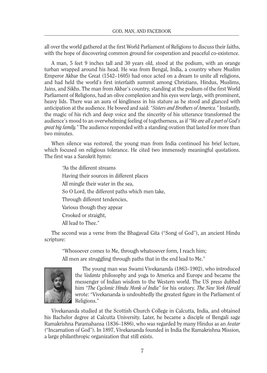all over the world gathered at the first World Parliament of Religions to discuss their faiths, with the hope of discovering common ground for cooperation and peaceful co-existence.

A man, 5 feet 9 inches tall and 30 years old, stood at the podium, with an orange turban wrapped around his head. He was from Bengal, India, a country where Muslim Emperor Akbar the Great (1542–1605) had once acted on a dream to unite all religions, and had held the world's first interfaith summit among Christians, Hindus, Muslims, Jains, and Sikhs. The man from Akbar's country, standing at the podium of the first World Parliament of Religions, had an olive complexion and his eyes were large, with prominent, heavy lids. There was an aura of kingliness in his stature as he stood and glanced with anticipation at the audience. He bowed and said: *"Sisters and Brothers of America."* Instantly, the magic of his rich and deep voice and the sincerity of his utterance transformed the audience's mood to an overwhelming feeling of togetherness, as if *"We are all a part of God's great big family."* The audience responded with a standing ovation that lasted for more than two minutes.

When silence was restored, the young man from India continued his brief lecture, which focused on religious tolerance. He cited two immensely meaningful quotations. The first was a Sanskrit hymn:

"As the different streams Having their sources in different places All mingle their water in the sea, So O Lord, the different paths which men take, Through different tendencies, Various though they appear Crooked or straight, All lead to Thee."

The second was a verse from the Bhagavad Gita ("Song of God"), an ancient Hindu scripture:

"Whosoever comes to Me, through whatsoever form, I reach him; All men are struggling through paths that in the end lead to Me."



The young man was Swami Vivekananda (1863–1902), who introduced the *Vedanta* philosophy and yoga to America and Europe and became the messenger of Indian wisdom to the Western world. The US press dubbed him *"The Cyclonic Hindu Monk of India"* for his oratory. *The New York Herald*  wrote: "Vivekananda is undoubtedly the greatest figure in the Parliament of Religions."

Vivekananda studied at the Scottish Church College in Calcutta, India, and obtained his Bachelor degree at Calcutta University. Later, he became a disciple of Bengali sage Ramakrishna Paramahansa (1836–1886), who was regarded by many Hindus as an *Avatar* ("Incarnation of God"). In 1897, Vivekananda founded in India the Ramakrishna Mission, a large philanthropic organization that still exists.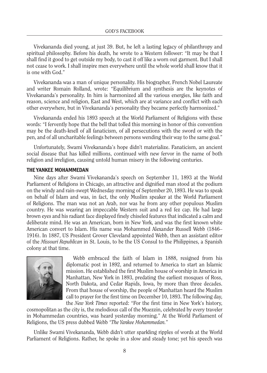Vivekananda died young, at just 39. But, he left a lasting legacy of philanthropy and spiritual philosophy. Before his death, he wrote to a Western follower: "It may be that I shall find it good to get outside my body, to cast it off like a worn out garment. But I shall not cease to work. I shall inspire men everywhere until the whole world shall know that it is one with God."

Vivekananda was a man of unique personality. His biographer, French Nobel Laureate and writer Romain Rolland, wrote: "Equilibrium and synthesis are the keynotes of Vivekananda's personality. In him is harmonized all the various energies, like faith and reason, science and religion, East and West, which are at variance and conflict with each other everywhere, but in Vivekananda's personality they became perfectly harmonized."

Vivekananda ended his 1893 speech at the World Parliament of Religions with these words: "I fervently hope that the bell that tolled this morning in honor of this convention may be the death-knell of all fanaticism, of all persecutions with the sword or with the pen, and of all uncharitable feelings between persons wending their way to the same goal."

Unfortunately, Swami Vivekananda's hope didn't materialize. Fanaticism, an ancient social disease that has killed millions, continued with new fervor in the name of both religion and irreligion, causing untold human misery in the following centuries.

#### THE YANKEE MOHAMMEDAN

Nine days after Swami Vivekananda's speech on September 11, 1893 at the World Parliament of Religions in Chicago, an attractive and dignified man stood at the podium on the windy and rain-swept Wednesday morning of September 20, 1893. He was to speak on behalf of Islam and was, in fact, the only Muslim speaker at the World Parliament of Religions. The man was not an Arab, nor was he from any other populous Muslim country. He was wearing an impeccable Western suit and a red fez cap. He had large brown eyes and his radiant face displayed finely chiseled features that indicated a calm and deliberate mind. He was an American, born in New York, and was the first known white American convert to Islam. His name was Mohammed Alexander Russell Webb (1846– 1916). In 1887, US President Grover Cleveland appointed Webb, then an assistant editor of the *Missouri Republican* in St. Louis, to be the US Consul to the Philippines, a Spanish colony at that time.



Webb embraced the faith of Islam in 1888, resigned from his diplomatic post in 1892, and returned to America to start an Islamic mission. He established the first Muslim house of worship in America in Manhattan, New York in 1893, predating the earliest mosques of Ross, North Dakota, and Cedar Rapids, Iowa, by more than three decades. From that house of worship, the people of Manhattan heard the Muslim call to prayer for the first time on December 10, 1893. The following day, the *New York Times* reported: "For the first time in New York's history,

cosmopolitan as the city is, the melodious call of the Muezzin, celebrated by every traveler in Mohammedan countries, was heard yesterday morning." At the World Parliament of Religions, the US press dubbed Webb *"The Yankee Mohammedan.*"

Unlike Swami Vivekananda, Webb didn't utter sparkling ripples of words at the World Parliament of Religions. Rather, he spoke in a slow and steady tone; yet his speech was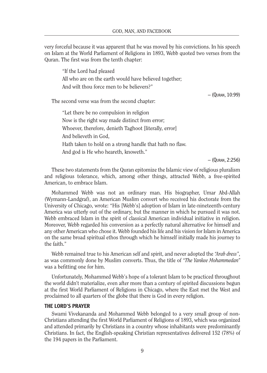very forceful because it was apparent that he was moved by his convictions. In his speech on Islam at the World Parliament of Religions in 1893, Webb quoted two verses from the Quran. The first was from the tenth chapter:

"If the Lord had pleased All who are on the earth would have believed together; And wilt thou force men to be believers?"

– (Quran, 10:99)

The second verse was from the second chapter:

"Let there be no compulsion in religion Now is the right way made distinct from error; Whoever, therefore, denieth Taghoot [literally, error] And believeth in God, Hath taken to hold on a strong handle that hath no flaw. And god is He who heareth, knoweth."

– (Quran, 2:256)

These two statements from the Quran epitomize the Islamic view of religious pluralism and religious tolerance, which, among other things, attracted Webb, a free-spirited American, to embrace Islam.

Mohammed Webb was not an ordinary man. His biographer, Umar Abd-Allah (Wymann-Landgraf), an American Muslim convert who received his doctorate from the University of Chicago, wrote: "His [Webb's] adoption of Islam in late-nineteenth-century America was utterly out of the ordinary, but the manner in which he pursued it was not. Webb embraced Islam in the spirit of classical American individual initiative in religion. Moreover, Webb regarded his conversion as a perfectly natural alternative for himself and any other American who chose it. Webb founded his life and his vision for Islam in America on the same broad spiritual ethos through which he himself initially made his journey to the faith."

Webb remained true to his American self and spirit, and never adopted the *"Arab dress"*, as was commonly done by Muslim converts. Thus, the title of *"The Yankee Mohammedan"*  was a befitting one for him.

Unfortunately, Mohammed Webb's hope of a tolerant Islam to be practiced throughout the world didn't materialize, even after more than a century of spirited discussions begun at the first World Parliament of Religions in Chicago, where the East met the West and proclaimed to all quarters of the globe that there is God in every religion.

#### THE LORD'S PRAYER

Swami Vivekananda and Mohammed Webb belonged to a very small group of non-Christians attending the first World Parliament of Religions of 1893, which was organized and attended primarily by Christians in a country whose inhabitants were predominantly Christians. In fact, the English-speaking Christian representatives delivered 152 (78%) of the 194 papers in the Parliament.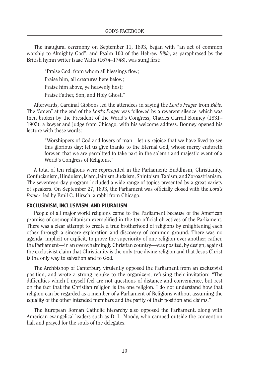The inaugural ceremony on September 11, 1893, began with "an act of common worship to Almighty God", and Psalm 100 of the Hebrew *Bible*, as paraphrased by the British hymn writer Isaac Watts (1674–1748), was sung first:

"Praise God, from whom all blessings flow; Praise him, all creatures here below; Praise him above, ye heavenly host; Praise Father, Son, and Holy Ghost."

Afterwards, Cardinal Gibbons led the attendees in saying the *Lord's Prayer* from *Bible*. The "Amen" at the end of the *Lord's Prayer* was followed by a reverent silence, which was then broken by the President of the World's Congress, Charles Carroll Bonney (1831– 1903), a lawyer and judge from Chicago, with his welcome address. Bonney opened his lecture with these words:

"Worshippers of God and lovers of man—let us rejoice that we have lived to see this glorious day; let us give thanks to the Eternal God, whose mercy endureth forever, that we are permitted to take part in the solemn and majestic event of a World's Congress of Religions."

A total of ten religions were represented in the Parliament: Buddhism, Christianity, Confucianism, Hinduism, Islam, Jainism, Judaism, Shintoism, Taoism, and Zoroastrianism. The seventeen-day program included a wide range of topics presented by a great variety of speakers. On September 27, 1893, the Parliament was officially closed with the *Lord's Prayer*, led by Emil G. Hirsch, a rabbi from Chicago.

#### EXCLUSIVISM, INCLUSIVISM, AND PLURALISM

People of all major world religions came to the Parliament because of the American promise of cosmopolitanism exemplified in the ten official objectives of the Parliament. There was a clear attempt to create a true brotherhood of religions by enlightening each other through a sincere exploration and discovery of common ground. There was no agenda, implicit or explicit, to prove the superiority of one religion over another; rather, the Parliament—in an overwhelmingly Christian country—was posited, by design, against the exclusivist claim that Christianity is the only true divine religion and that Jesus Christ is the only way to salvation and to God.

The Archbishop of Canterbury virulently opposed the Parliament from an exclusivist position, and wrote a strong rebuke to the organizers, refusing their invitation: "The difficulties which I myself feel are not questions of distance and convenience, but rest on the fact that the Christian religion is the one religion. I do not understand how that religion can be regarded as a member of a Parliament of Religions without assuming the equality of the other intended members and the parity of their position and claims."

The European Roman Catholic hierarchy also opposed the Parliament, along with American evangelical leaders such as D. L. Moody, who camped outside the convention hall and prayed for the souls of the delegates.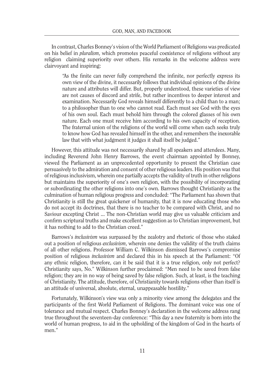In contrast, Charles Bonney's vision of the World Parliament of Religions was predicated on his belief in *pluralism*, which promotes peaceful coexistence of religions without any religion claiming superiority over others. His remarks in the welcome address were clairvoyant and inspiring:

"As the finite can never fully comprehend the infinite, nor perfectly express its own view of the divine, it necessarily follows that individual opinions of the divine nature and attributes will differ. But, properly understood, these varieties of view are not causes of discord and strife, but rather incentives to deeper interest and examination. Necessarily God reveals himself differently to a child than to a man; to a philosopher than to one who cannot read. Each must see God with the eyes of his own soul. Each must behold him through the colored glasses of his own nature. Each one must receive him according to his own capacity of reception. The fraternal union of the religions of the world will come when each seeks truly to know how God has revealed himself in the other, and remembers the inexorable law that with what judgment it judges it shall itself be judged."

However, this attitude was not necessarily shared by all speakers and attendees. Many, including Reverend John Henry Barrows, the event chairman appointed by Bonney, viewed the Parliament as an unprecedented opportunity to present the Christian case persuasively to the admiration and consent of other religious leaders. His position was that of religious inclusivism, wherein one partially accepts the validity of truth in other religions but maintains the superiority of one's own religion, with the possibility of incorporating or subordinating the other religions into one's own. Barrows thought Christianity as the culmination of human religious progress and concluded: "The Parliament has shown that Christianity is still the great quickener of humanity, that it is now educating those who do not accept its doctrines, that there is no teacher to be compared with Christ, and no Saviour excepting Christ ... The non-Christian world may give us valuable criticism and confirm scriptural truths and make excellent suggestion as to Christian improvement, but it has nothing to add to the Christian creed."

Barrows's *inclusivism* was surpassed by the zealotry and rhetoric of those who staked out a position of religious *exclusivism*, wherein one denies the validity of the truth claims of all other religions. Professor William C. Wilkinson dismissed Barrows's compromise position of religious *inclusivism* and declared this in his speech at the Parliament: "Of any ethnic religion, therefore, can it be said that it is a true religion, only not perfect? Christianity says, No." Wilkinson further proclaimed: "Men need to be saved from false religion; they are in no way of being saved by false religion. Such, at least, is the teaching of Christianity. The attitude, therefore, of Christianity towards religions other than itself is an attitude of universal, absolute, eternal, unappeasable hostility."

Fortunately, Wilkinson's view was only a minority view among the delegates and the participants of the first World Parliament of Religions. The dominant voice was one of tolerance and mutual respect. Charles Bonney's declaration in the welcome address rang true throughout the seventeen-day conference: "This day a new fraternity is born into the world of human progress, to aid in the upholding of the kingdom of God in the hearts of men."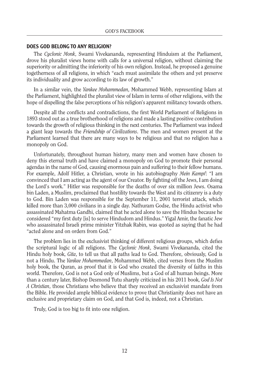#### DOES GOD BELONG TO ANY RELIGION?

The *Cyclonic Monk*, Swami Vivekananda, representing Hinduism at the Parliament, drove his pluralist views home with calls for a universal religion, without claiming the superiority or admitting the inferiority of his own religion. Instead, he proposed a genuine togetherness of all religions, in which "each must assimilate the others and yet preserve its individuality and grow according to its law of growth."

In a similar vein, the *Yankee Mohammedan*, Mohammed Webb, representing Islam at the Parliament, highlighted the pluralist view of Islam in terms of other religions, with the hope of dispelling the false perceptions of his religion's apparent militancy towards others.

Despite all the conflicts and contradictions, the first World Parliament of Religions in 1893 stood out as a true brotherhood of religions and made a lasting positive contribution towards the growth of religious thinking in the next centuries. The Parliament was indeed a giant leap towards the *Friendship of Civilizations*. The men and women present at the Parliament learned that there are many ways to be religious and that no religion has a monopoly on God.

Unfortunately, throughout human history, many men and women have chosen to deny this eternal truth and have claimed a monopoly on God to promote their personal agendas in the name of God, causing enormous pain and suffering to their fellow humans. For example, Adolf Hitler, a Christian, wrote in his autobiography *Mein Kampf*: "I am convinced that I am acting as the agent of our Creator. By fighting off the Jews, I am doing the Lord's work." Hitler was responsible for the deaths of over six million Jews. Osama bin Laden, a Muslim, proclaimed that hostility towards the West and its citizenry is a duty to God. Bin Laden was responsible for the September 11, 2001 terrorist attack, which killed more than 3,000 civilians in a single day. Nathuram Godse, the Hindu activist who assassinated Mahatma Gandhi, claimed that he acted alone to save the Hindus because he considered "my first duty [is] to serve Hindudom and Hindus." Yigal Amir, the fanatic Jew who assassinated Israeli prime minister Yitzhak Rabin, was quoted as saying that he had "acted alone and on orders from God."

The problem lies in the exclusivist thinking of different religious groups, which defies the scriptural logic of all religions. The *Cyclonic Monk*, Swami Vivekananda, cited the Hindu holy book, *Gita*, to tell us that all paths lead to God. Therefore, obviously, God is not a Hindu. The *Yankee Mohammedan*, Mohammed Webb, cited verses from the Muslim holy book, the Quran, as proof that it is God who created the diversity of faiths in this world. Therefore, God is not a God only of Muslims, but a God of all human beings. More than a century later, Bishop Desmond Tutu sharply criticized in his 2011 book, *God Is Not A Christian*, those Christians who believe that they received an exclusivist mandate from the Bible. He provided ample biblical evidence to prove that Christianity does not have an exclusive and proprietary claim on God, and that God is, indeed, not a Christian.

Truly, God is too big to fit into one religion.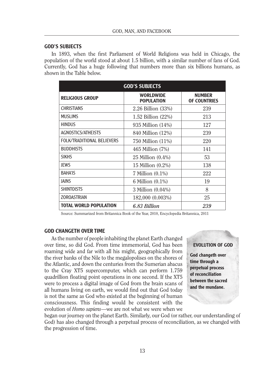#### GOD'S SUBJECTS

In 1893, when the first Parliament of World Religions was held in Chicago, the population of the world stood at about 1.5 billion, with a similar number of fans of God. Currently, God has a huge following that numbers more than six billions humans, as shown in the Table below.

| <b>GOD'S SUBJECTS</b>             |                                 |                                      |
|-----------------------------------|---------------------------------|--------------------------------------|
| <b>RELIGIOUS GROUP</b>            | WORI DWIDF<br><b>POPULATION</b> | <b>NUMBER</b><br><b>OF COUNTRIES</b> |
| <b>CHRISTIANS</b>                 | 2.26 Billion (33%)              | 239                                  |
| <b>MUSLIMS</b>                    | 1.52 Billion (22%)              | 213                                  |
| <b>HINDUS</b>                     | 935 Million (14%)               | 127                                  |
| AGNOSTICS/ATHEISTS                | 840 Million (12%)               | 239                                  |
| <b>FOLK/TRADITIONAL BELIEVERS</b> | 750 Million (11%)               | 220                                  |
| <b>BUDDHISTS</b>                  | 465 Million (7%)                | 141                                  |
| <b>SIKHS</b>                      | 25 Million $(0.4\%)$            | 53                                   |
| JEWS                              | 15 Million $(0.2\%)$            | 138                                  |
| <b>BAHA'IS</b>                    | $7$ Million $(0.1\%)$           | 222                                  |
| <b>JAINS</b>                      | 6 Million (0.1%)                | 19                                   |
| <b>SHINTOISTS</b>                 | 3 Million (0.04%)               | 8                                    |
| <b>ZOROASTRIAN</b>                | 182,000 (0.003%)                | 25                                   |
| <b>TOTAL WORLD POPULATION</b>     | 6.83 Billion                    | 239                                  |

Source: Summarized from Britannica Book of the Year, 2010, Encyclopedia Britannica, 2011

#### GOD CHANGETH OVER TIME

As the number of people inhabiting the planet Earth changed over time, so did God. From time immemorial, God has been roaming wide and far with all his might, geographically from the river banks of the Nile to the megalopolises on the shores of the Atlantic, and down the centuries from the Sumerian abacus to the Cray XT5 supercomputer, which can perform 1.759 quadrillion floating point operations in one second. If the XT5 were to process a digital image of God from the brain scans of all humans living on earth, we would find out that God today is not the same as God who existed at the beginning of human consciousness. This finding would be consistent with the evolution of *Homo sapiens*—we are not what we were when we

#### EVOLUTION OF GOD

God changeth over time through a perpetual process of reconciliation between the sacred and the mundane.

began our journey on the planet Earth. Similarly, our God (or rather, our understanding of God) has also changed through a perpetual process of reconciliation, as we changed with the progression of time.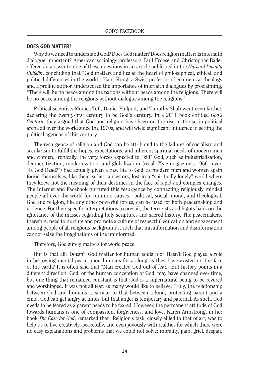#### DOES GOD MATTER?

Why do we need to understand God? Does God matter? Does religion matter? Is interfaith dialogue important? American sociology professors Paul Froese and Christopher Bader offered an answer to one of these questions in an article published in the *Harvard Divinity Bulletin*, concluding that "God matters and lies at the heart of philosophical, ethical, and political differences in the world." Hans Küng, a Swiss professor of ecumenical theology and a prolific author, underscored the importance of interfaith dialogues by proclaiming, "There will be no peace among the nations without peace among the religions. There will be no peace among the religions without dialogue among the religions."

Political scientists Monica Toft, Daniel Philpott, and Timothy Shah went even farther, declaring the twenty-first century to be God's century. In a 2011 book entitled *God's Century*, they argued that God and religion have been on the rise in the socio-political arena all over the world since the 1970s, and will wield significant influence in setting the political agendas of this century.

The resurgence of religion and God can be attributed to the failures of socialism and secularism to fulfill the hopes, expectations, and inherent spiritual needs of modern men and women. Ironically, the very forces expected to "kill" God, such as industrialization, democratization, modernization, and globalization (recall *Time* magazine's 1966 cover, "Is God Dead?") had actually given a new life to God, as modern men and women again found themselves, like their earliest ancestors, lost in a "spiritually lonely" world where they knew not the meaning of their destinies in the face of rapid and complex changes. The Internet and Facebook nurtured this resurgence by connecting religiously minded people all over the world for common causes—political, social, moral, and theological. God and religion, like any other powerful forces, can be used for both peacemaking and violence. For their specific interpretations to prevail, the terrorists and bigots bank on the ignorance of the masses regarding holy scriptures and sacred history. The peacemakers, therefore, need to nurture and promote a culture of respectful education and engagement among people of all religious backgrounds, such that misinformation and disinformation cannot seize the imaginations of the uninformed.

Therefore, God surely matters for world peace.

But is that all? Doesn't God matter for human souls too? Hasn't God played a role in bestowing mental peace upon humans for as long as they have existed on the face of the earth? It is often said that "Man created God out of fear." But history points in a different direction. God, or the human conception of God, may have changed over time, but one thing that remained constant is that God is a supernatural being to be revered and worshipped. It was not all fear, as many would like to believe. Truly, the relationship between God and humans is similar to that between a kind, protecting parent and a child. God can get angry at times, but that anger is temporary and paternal. As such, God needs to be feared as a parent needs to be feared. However, the permanent attitude of God towards humans is one of compassion, forgiveness, and love. Karen Armstrong, in her book *The Case for God*, remarked that "Religion's task, closely allied to that of art, was to help us to live creatively, peacefully, and even joyously with realities for which there were no easy explanations and problems that we could not solve: morality, pain, grief, despair,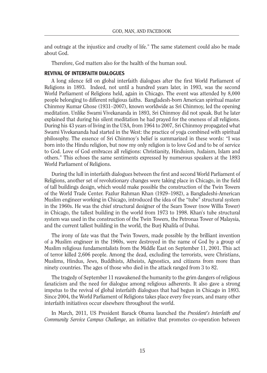and outrage at the injustice and cruelty of life." The same statement could also be made about God.

Therefore, God matters also for the health of the human soul.

#### REVIVAL OF INTERFAITH DIALOGUES

A long silence fell on global interfaith dialogues after the first World Parliament of Religions in 1893. Indeed, not until a hundred years later, in 1993, was the second World Parliament of Religions held, again in Chicago. The event was attended by 8,000 people belonging to different religious faiths. Bangladesh-born American spiritual master Chinmoy Kumar Ghose (1931–2007), known worldwide as Sri Chinmoy, led the opening meditation. Unlike Swami Vivekananda in 1893, Sri Chinmoy did not speak. But he later explained that during his silent meditation he had prayed for the oneness of all religions. During his 43 years of living in the USA, from 1964 to 2007, Sri Chinmoy propagated what Swami Vivekananda had started in the West: the practice of yoga combined with spiritual philosophy. The essence of Sri Chinmoy's belief is summarized in these words: "I was born into the Hindu religion, but now my only religion is to love God and to be of service to God. Love of God embraces all religions: Christianity, Hinduism, Judaism, Islam and others." This echoes the same sentiments expressed by numerous speakers at the 1893 World Parliament of Religions.

During the lull in interfaith dialogues between the first and second World Parliament of Religions, another set of revolutionary changes were taking place in Chicago, in the field of tall buildings design, which would make possible the construction of the Twin Towers of the World Trade Center. Fazlur Rahman Khan (1929–1982), a Bangladeshi-American Muslim engineer working in Chicago, introduced the idea of the "tube" structural system in the 1960s. He was the chief structural designer of the Sears Tower (now Willis Tower) in Chicago, the tallest building in the world from 1973 to 1998. Khan's tube structural system was used in the construction of the Twin Towers, the Petronas Tower of Malaysia, and the current tallest building in the world, the Burj Khalifa of Dubai.

The irony of fate was that the Twin Towers, made possible by the brilliant invention of a Muslim engineer in the 1960s, were destroyed in the name of God by a group of Muslim religious fundamentalists from the Middle East on September 11, 2001. This act of terror killed 2,606 people. Among the dead, excluding the terrorists, were Christians, Muslims, Hindus, Jews, Buddhists, Atheists, Agnostics, and citizens from more than ninety countries. The ages of those who died in the attack ranged from 3 to 82.

The tragedy of September 11 reawakened the humanity to the grim dangers of religious fanaticism and the need for dialogue among religious adherents. It also gave a strong impetus to the revival of global interfaith dialogues that had begun in Chicago in 1893. Since 2004, the World Parliament of Religions takes place every five years, and many other interfaith initiatives occur elsewhere throughout the world.

In March, 2011, US President Barack Obama launched the *President's Interfaith and Community Service Campus Challenge*, an initiative that promotes co-operation between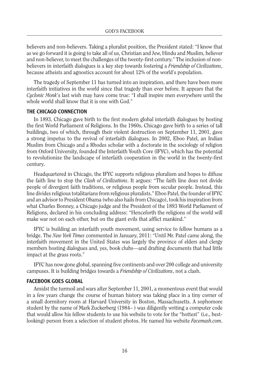believers and non-believers. Taking a pluralist position, the President stated: "I know that as we go forward it is going to take all of us, Christian and Jew, Hindu and Muslim, believer and non-believer, to meet the challenges of the twenty-first century." The inclusion of nonbelievers in interfaith dialogues is a key step towards fostering a *Friendship of Civilizations*, because atheists and agnostics account for about 12% of the world's population.

The tragedy of September 11 has turned into an inspiration, and there have been more interfaith initiatives in the world since that tragedy than ever before. It appears that the *Cyclonic Monk*'s last wish may have come true: "I shall inspire men everywhere until the whole world shall know that it is one with God."

#### THE CHICAGO CONNECTION

In 1893, Chicago gave birth to the first modern global interfaith dialogues by hosting the first World Parliament of Religions. In the 1960s, Chicago gave birth to a series of tall buildings, two of which, through their violent destruction on September 11, 2001, gave a strong impetus to the revival of interfaith dialogues. In 2002, Eboo Patel, an Indian Muslim from Chicago and a Rhodes scholar with a doctorate in the sociology of religion from Oxford University, founded the Interfaith Youth Core (IFYC), which has the potential to revolutionize the landscape of interfaith cooperation in the world in the twenty-first century.

Headquartered in Chicago, the IFYC supports religious pluralism and hopes to diffuse the faith line to stop the *Clash of Civilizations*. It argues: "The faith line does not divide people of divergent faith traditions, or religious people from secular people. Instead, this line divides religious totalitarians from religious pluralists." Eboo Patel, the founder of IFYC and an advisor to President Obama (who also hails from Chicago), took his inspiration from what Charles Bonney, a Chicago judge and the President of the 1893 World Parliament of Religions, declared in his concluding address: "Henceforth the religions of the world will make war not on each other, but on the giant evils that afflict mankind."

IFYC is building an interfaith youth movement, using service to fellow humans as a bridge. The *New York Times* commented in January, 2011: "Until Mr. Patel came along, the interfaith movement in the United States was largely the province of elders and clergy members hosting dialogues and, yes, book clubs—and drafting documents that had little impact at the grass roots."

IFYC has now gone global, spanning five continents and over 200 college and university campuses. It is building bridges towards a *Friendship of Civilizations*, not a clash.

#### FACEBOOK GOES GLOBAL

Amidst the turmoil and wars after September 11, 2001, a momentous event that would in a few years change the course of human history was taking place in a tiny corner of a small dormitory room at Harvard University in Boston, Massachusetts. A sophomore student by the name of Mark Zuckerberg (1984– ) was diligently writing a computer code that would allow his fellow students to use his website to vote for the "hottest" (i.e., bestlooking) person from a selection of student photos. He named his website *Facemash.com*.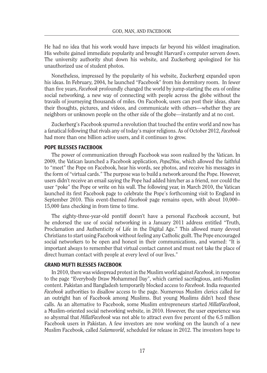He had no idea that his work would have impacts far beyond his wildest imagination. His website gained immediate popularity and brought Harvard's computer servers down. The university authority shut down his website, and Zuckerberg apologized for his unauthorized use of student photos.

Nonetheless, impressed by the popularity of his website, Zuckerberg expanded upon his ideas. In February, 2004, he launched "Facebook" from his dormitory room. In fewer than five years, *Facebook* profoundly changed the world by jump-starting the era of online social networking, a new way of connecting with people across the globe without the travails of journeying thousands of miles. On Facebook, users can post their ideas, share their thoughts, pictures, and videos, and communicate with others—whether they are neighbors or unknown people on the other side of the globe—instantly and at no cost.

Zuckerberg's Facebook spurred a revolution that touched the entire world and now has a fanatical following that rivals any of today's major religions. As of October 2012, *Facebook* had more than one billion active users, and it continues to grow.

#### POPE BLESSES FACEBOOK

The power of communication through Facebook was soon realized by the Vatican. In 2009, the Vatican launched a Facebook application, *Pope2You*, which allowed the faithful to "meet" the Pope on Facebook, hear his words, see photos, and receive his messages in the form of "virtual cards." The purpose was to build a network around the Pope. However, users didn't receive an email saying the Pope had added him/her as a friend, nor could the user "poke" the Pope or write on his wall. The following year, in March 2010, the Vatican launched its first Facebook page to celebrate the Pope's forthcoming visit to England in September 2010. This event-themed *Facebook* page remains open, with about 10,000– 15,000 fans checking in from time to time.

The eighty-three-year-old pontiff doesn't have a personal Facebook account, but he endorsed the use of social networking in a January 2011 address entitled "Truth, Proclamation and Authenticity of Life in the Digital Age." This allowed many devout Christians to start using Facebook without feeling any Catholic guilt. The Pope encouraged social networkers to be open and honest in their communications, and warned: "It is important always to remember that virtual contact cannot and must not take the place of direct human contact with people at every level of our lives."

#### GRAND MUFTI BLESSES FACEBOOK

In 2010, there was widespread protest in the Muslim world against *Facebook*, in response to the page "Everybody Draw Mohammed Day", which carried sacrilegious, anti-Muslim content. Pakistan and Bangladesh temporarily blocked access to *Facebook*. India requested *Facebook* authorities to disallow access to the page. Numerous Muslim clerics called for an outright ban of Facebook among Muslims. But young Muslims didn't heed these calls. As an alternative to Facebook, some Muslim entrepreneurs started *MillatFacebook*, a Muslim-oriented social networking website, in 2010. However, the user experience was so abysmal that *MillatFacebook* was not able to attract even five percent of the 6.5 million Facebook users in Pakistan. A few investors are now working on the launch of a new Muslim Facebook, called *Salamworld*, scheduled for release in 2012. The investors hope to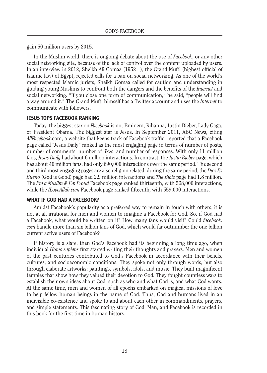gain 50 million users by 2015.

In the Muslim world, there is ongoing debate about the use of *Facebook*, or any other social networking site, because of the lack of control over the content uploaded by users. In an interview in 2012, Sheikh Ali Gomaa (1952– ), the Grand Mufti (highest official of Islamic law) of Egypt, rejected calls for a ban on social networking. As one of the world's most respected Islamic jurists, Sheikh Gomaa called for caution and understanding in guiding young Muslims to confront both the dangers and the benefits of the *Internet* and social networking. "If you close one form of communication," he said, "people will find a way around it." The Grand Mufti himself has a Twitter account and uses the *Internet* to communicate with followers.

#### JESUS TOPS FACEBOOK RANKING

Today, the biggest star on *Facebook* is not Eminem, Rihanna, Justin Bieber, Lady Gaga, or President Obama. The biggest star is Jesus. In September 2011, ABC News, citing *AllFacebook*.com, a website that keeps track of Facebook traffic, reported that a Facebook page called "Jesus Daily" ranked as the most engaging page in terms of number of posts, number of comments, number of likes, and number of responses. With only 11 million fans, *Jesus Daily* had about 6 million interactions. In contrast, the *Justin Bieber* page, which has about 40 million fans, had only 690,000 interactions over the same period. The second and third most engaging pages are also religion related: during the same period, the *Dios Es Bueno* (God is Good) page had 2.9 million interactions and *The Bible* page had 1.8 million. The *I'm a Muslim & I'm Proud* Facebook page ranked thirteenth, with 568,000 interactions, while the *ILoveAllah.com* Facebook page ranked fifteenth, with 559,000 interactions.

#### WHAT IF GOD HAD A FACEBOOK?

Amidst Facebook's popularity as a preferred way to remain in touch with others, it is not at all irrational for men and women to imagine a Facebook for God. So, if God had a Facebook, what would be written on it? How many fans would visit? Could *facebook. com* handle more than six billion fans of God, which would far outnumber the one billion current active users of Facebook?

If history is a slate, then God's Facebook had its beginning a long time ago, when individual *Homo sapiens* first started writing their thoughts and prayers. Men and women of the past centuries contributed to God's Facebook in accordance with their beliefs, cultures, and socioeconomic conditions. They spoke not only through words, but also through elaborate artworks: paintings, symbols, idols, and music. They built magnificent temples that show how they valued their devotion to God. They fought countless wars to establish their own ideas about God, such as who and what God is, and what God wants. At the same time, men and women of all epochs embarked on magical missions of love to help fellow human beings in the name of God. Thus, God and humans lived in an indivisible co-existence and spoke to and about each other in commandments, prayers, and simple statements. This fascinating story of God, Man, and Facebook is recorded in this book for the first time in human history.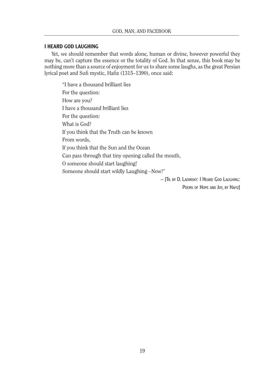#### I HEARD GOD LAUGHING

Yet, we should remember that words alone, human or divine, however powerful they may be, can't capture the essence or the totality of God. In that sense, this book may be nothing more than a source of enjoyment for us to share some laughs, as the great Persian lyrical poet and Sufi mystic, Hafiz (1315–1390), once said:

"I have a thousand brilliant lies For the question: How are you? I have a thousand brilliant lies For the question: What is God? If you think that the Truth can be known From words, If you think that the Sun and the Ocean Can pass through that tiny opening called the mouth, O someone should start laughing! Someone should start wildly Laughing –Now!" – [Tr. by D. Ladinsky: I Heard God Laughing:

POEMS OF HOPE AND JOY, BY HAFIZ]